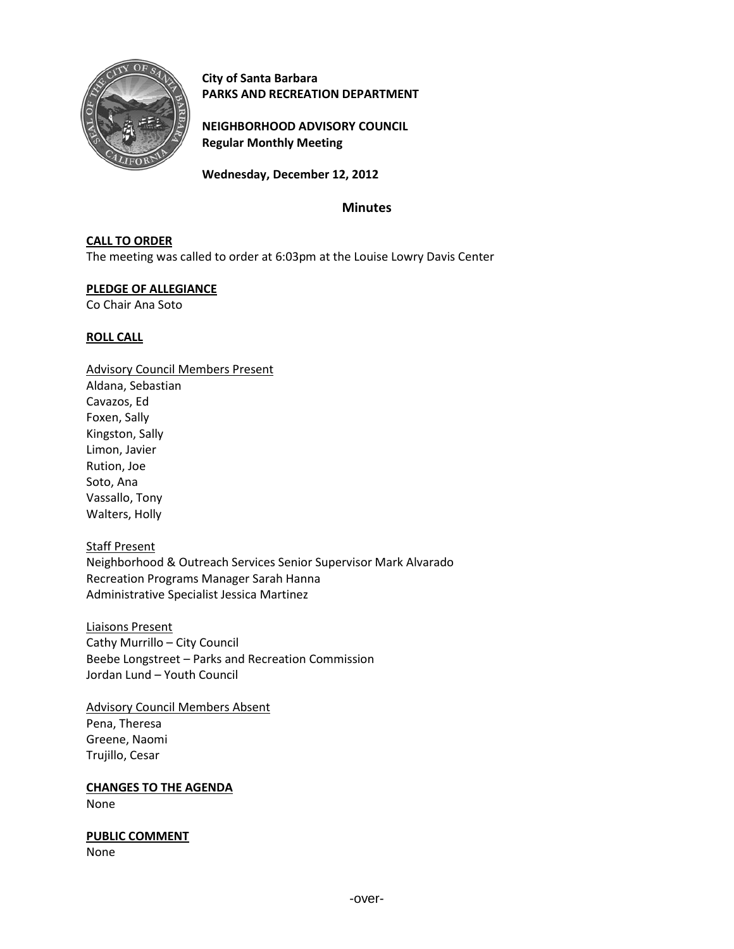

**City of Santa Barbara PARKS AND RECREATION DEPARTMENT**

**NEIGHBORHOOD ADVISORY COUNCIL Regular Monthly Meeting**

**Wednesday, December 12, 2012**

# **Minutes**

## **CALL TO ORDER**

The meeting was called to order at 6:03pm at the Louise Lowry Davis Center

### **PLEDGE OF ALLEGIANCE**

Co Chair Ana Soto

### **ROLL CALL**

Advisory Council Members Present Aldana, Sebastian Cavazos, Ed Foxen, Sally Kingston, Sally Limon, Javier Rution, Joe Soto, Ana Vassallo, Tony Walters, Holly

Staff Present Neighborhood & Outreach Services Senior Supervisor Mark Alvarado Recreation Programs Manager Sarah Hanna Administrative Specialist Jessica Martinez

Liaisons Present Cathy Murrillo – City Council Beebe Longstreet – Parks and Recreation Commission Jordan Lund – Youth Council

Advisory Council Members Absent Pena, Theresa Greene, Naomi Trujillo, Cesar

**CHANGES TO THE AGENDA**

None

**PUBLIC COMMENT**

None